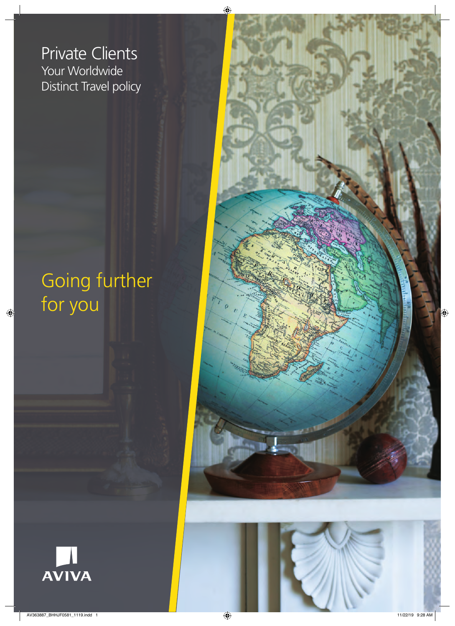Your Worldwide Distinct Travel policy Private Clients

# Going further for you





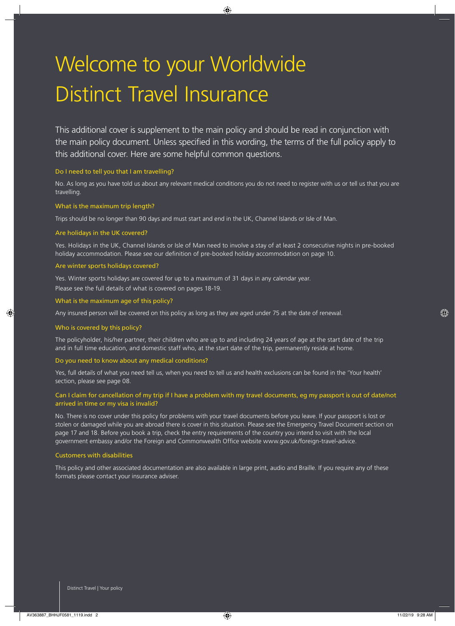# Welcome to your Worldwide Distinct Travel Insurance

This additional cover is supplement to the main policy and should be read in conjunction with the main policy document. Unless specified in this wording, the terms of the full policy apply to this additional cover. Here are some helpful common questions.

## Do I need to tell you that I am travelling?

No. As long as you have told us about any relevant medical conditions you do not need to register with us or tell us that you are travelling.

## What is the maximum trip length?

Trips should be no longer than 90 days and must start and end in the UK, Channel Islands or Isle of Man.

## Are holidays in the UK covered?

Yes. Holidays in the UK, Channel Islands or Isle of Man need to involve a stay of at least 2 consecutive nights in pre-booked holiday accommodation. Please see our definition of pre-booked holiday accommodation on page 10.

## Are winter sports holidays covered?

Yes. Winter sports holidays are covered for up to a maximum of 31 days in any calendar year.

Please see the full details of what is covered on pages 18-19.

## What is the maximum age of this policy?

Any insured person will be covered on this policy as long as they are aged under 75 at the date of renewal.

## Who is covered by this policy?

The policyholder, his/her partner, their children who are up to and including 24 years of age at the start date of the trip and in full time education, and domestic staff who, at the start date of the trip, permanently reside at home.

#### Do you need to know about any medical conditions?

Yes, full details of what you need tell us, when you need to tell us and health exclusions can be found in the 'Your health' section, please see page 08.

## Can I claim for cancellation of my trip if I have a problem with my travel documents, eg my passport is out of date/not arrived in time or my visa is invalid?

No. There is no cover under this policy for problems with your travel documents before you leave. If your passport is lost or stolen or damaged while you are abroad there is cover in this situation. Please see the Emergency Travel Document section on page 17 and 18. Before you book a trip, check the entry requirements of the country you intend to visit with the local government embassy and/or the Foreign and Commonwealth Office website www.gov.uk/foreign-travel-advice.

## Customers with disabilities

This policy and other associated documentation are also available in large print, audio and Braille. If you require any of these formats please contact your insurance adviser.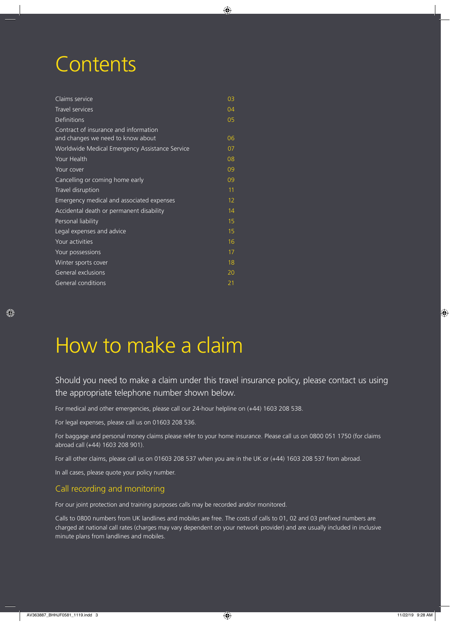# **Contents**

| Claims service                                                             | 03             |
|----------------------------------------------------------------------------|----------------|
| Travel services                                                            | 04             |
| <b>Definitions</b>                                                         | 0 <sub>5</sub> |
| Contract of insurance and information<br>and changes we need to know about | 06             |
| Worldwide Medical Emergency Assistance Service                             | 07             |
| Your Health                                                                | 08             |
| Your cover                                                                 | 09             |
| Cancelling or coming home early                                            | 09             |
| Travel disruption                                                          | 11             |
| Emergency medical and associated expenses                                  | 12             |
| Accidental death or permanent disability                                   | 14             |
| Personal liability                                                         | 15             |
| Legal expenses and advice                                                  | 15             |
| Your activities                                                            | 16             |
| Your possessions                                                           | 17             |
| Winter sports cover                                                        | 18             |
| General exclusions                                                         | 20             |
| General conditions                                                         | 21             |

# How to make a claim

Should you need to make a claim under this travel insurance policy, please contact us using the appropriate telephone number shown below.

For medical and other emergencies, please call our 24-hour helpline on (+44) 1603 208 538.

For legal expenses, please call us on 01603 208 536.

For baggage and personal money claims please refer to your home insurance. Please call us on 0800 051 1750 (for claims abroad call (+44) 1603 208 901).

For all other claims, please call us on 01603 208 537 when you are in the UK or (+44) 1603 208 537 from abroad.

In all cases, please quote your policy number.

## Call recording and monitoring

For our joint protection and training purposes calls may be recorded and/or monitored.

Calls to 0800 numbers from UK landlines and mobiles are free. The costs of calls to 01, 02 and 03 prefixed numbers are charged at national call rates (charges may vary dependent on your network provider) and are usually included in inclusive minute plans from landlines and mobiles.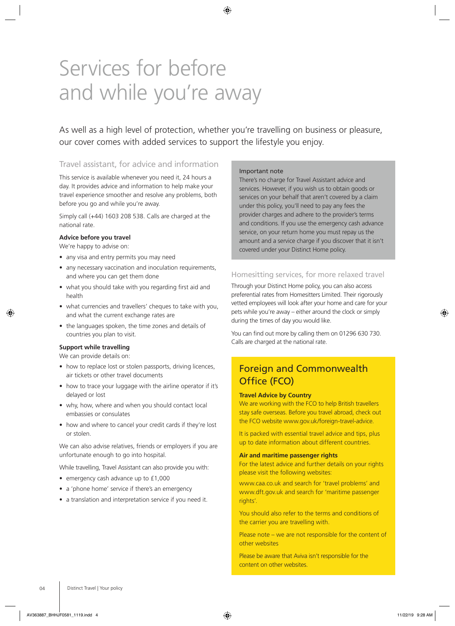# Services for before and while you're away

As well as a high level of protection, whether you're travelling on business or pleasure, our cover comes with added services to support the lifestyle you enjoy.

## Travel assistant, for advice and information

This service is available whenever you need it, 24 hours a day. It provides advice and information to help make your travel experience smoother and resolve any problems, both before you go and while you're away.

Simply call (+44) 1603 208 538. Calls are charged at the national rate.

## **Advice before you travel**

We're happy to advise on:

- any visa and entry permits you may need
- any necessary vaccination and inoculation requirements, and where you can get them done
- what you should take with you regarding first aid and health
- what currencies and travellers' cheques to take with you, and what the current exchange rates are
- the languages spoken, the time zones and details of countries you plan to visit.

## **Support while travelling**

We can provide details on:

- how to replace lost or stolen passports, driving licences, air tickets or other travel documents
- how to trace your luggage with the airline operator if it's delayed or lost
- why, how, where and when you should contact local embassies or consulates
- how and where to cancel your credit cards if they're lost or stolen.

We can also advise relatives, friends or employers if you are unfortunate enough to go into hospital.

While travelling, Travel Assistant can also provide you with:

- emergency cash advance up to £1,000
- a 'phone home' service if there's an emergency
- a translation and interpretation service if you need it.

## Important note

There's no charge for Travel Assistant advice and services. However, if you wish us to obtain goods or services on your behalf that aren't covered by a claim under this policy, you'll need to pay any fees the provider charges and adhere to the provider's terms and conditions. If you use the emergency cash advance service, on your return home you must repay us the amount and a service charge if you discover that it isn't covered under your Distinct Home policy.

## Homesitting services, for more relaxed travel

Through your Distinct Home policy, you can also access preferential rates from Homesitters Limited. Their rigorously vetted employees will look after your home and care for your pets while you're away – either around the clock or simply during the times of day you would like.

You can find out more by calling them on 01296 630 730. Calls are charged at the national rate.

## Foreign and Commonwealth Office (FCO)

## **Travel Advice by Country**

We are working with the FCO to help British travellers stay safe overseas. Before you travel abroad, check out the FCO website www.gov.uk/foreign-travel-advice.

It is packed with essential travel advice and tips, plus up to date information about different countries.

#### **Air and maritime passenger rights**

For the latest advice and further details on your rights please visit the following websites:

[www.caa.co.uk](http://www.caa.co.uk) and search for 'travel problems' and [www.dft.gov.uk](http://www.dft.gov.uk) and search for 'maritime passenger rights'.

You should also refer to the terms and conditions of the carrier you are travelling with.

Please note – we are not responsible for the content of other websites

Please be aware that Aviva isn't responsible for the content on other websites.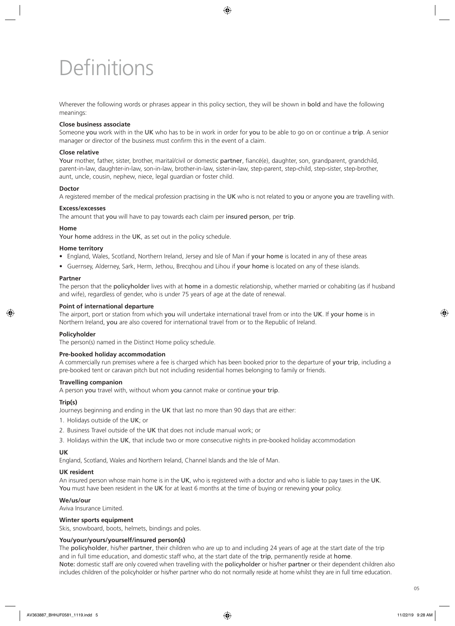# **Definitions**

Wherever the following words or phrases appear in this policy section, they will be shown in **bold** and have the following meanings:

## **Close business associate**

Someone you work with in the UK who has to be in work in order for you to be able to go on or continue a trip. A senior manager or director of the business must confirm this in the event of a claim.

## **Close relative**

Your mother, father, sister, brother, marital/civil or domestic partner, fiancé(e), daughter, son, grandparent, grandchild, parent-in-law, daughter-in-law, son-in-law, brother-in-law, sister-in-law, step-parent, step-child, step-sister, step-brother, aunt, uncle, cousin, nephew, niece, legal guardian or foster child.

## **Doctor**

A registered member of the medical profession practising in the UK who is not related to you or anyone you are travelling with.

## **Excess/excesses**

The amount that you will have to pay towards each claim per insured person, per trip.

## **Home**

Your home address in the UK, as set out in the policy schedule.

## **Home territory**

- England, Wales, Scotland, Northern Ireland, Jersey and Isle of Man if your home is located in any of these areas
- Guernsey, Alderney, Sark, Herm, Jethou, Brecqhou and Lihou if your home is located on any of these islands.

## **Partner**

The person that the policyholder lives with at home in a domestic relationship, whether married or cohabiting (as if husband and wife), regardless of gender, who is under 75 years of age at the date of renewal.

## **Point of international departure**

The airport, port or station from which you will undertake international travel from or into the UK. If your home is in Northern Ireland, you are also covered for international travel from or to the Republic of Ireland.

## **Policyholder**

The person(s) named in the Distinct Home policy schedule.

## **Pre-booked holiday accommodation**

A commercially run premises where a fee is charged which has been booked prior to the departure of your trip, including a pre-booked tent or caravan pitch but not including residential homes belonging to family or friends.

## **Travelling companion**

A person you travel with, without whom you cannot make or continue your trip.

## **Trip(s)**

Journeys beginning and ending in the UK that last no more than 90 days that are either:

- 1. Holidays outside of the UK; or
- 2. Business Travel outside of the UK that does not include manual work; or
- 3. Holidays within the UK, that include two or more consecutive nights in pre-booked holiday accommodation

## **UK**

England, Scotland, Wales and Northern Ireland, Channel Islands and the Isle of Man.

## **UK resident**

An insured person whose main home is in the UK, who is registered with a doctor and who is liable to pay taxes in the UK. You must have been resident in the UK for at least 6 months at the time of buying or renewing your policy.

## **We/us/our**

Aviva Insurance Limited.

## **Winter sports equipment**

Skis, snowboard, boots, helmets, bindings and poles.

## **You/your/yours/yourself/insured person(s)**

The policyholder, his/her partner, their children who are up to and including 24 years of age at the start date of the trip and in full time education, and domestic staff who, at the start date of the trip, permanently reside at home. Note: domestic staff are only covered when travelling with the policyholder or his/her partner or their dependent children also includes children of the policyholder or his/her partner who do not normally reside at home whilst they are in full time education.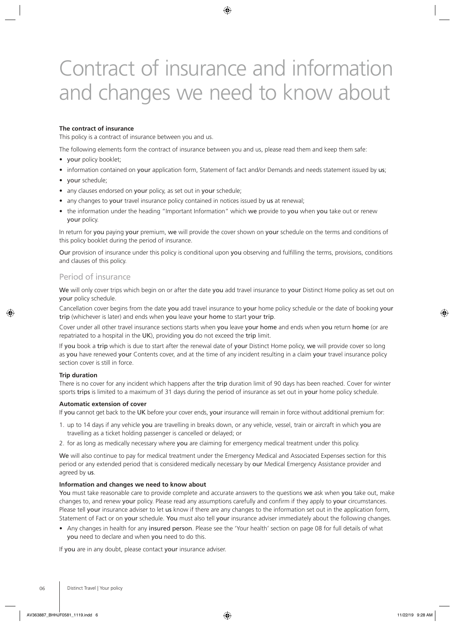# Contract of insurance and information and changes we need to know about

## **The contract of insurance**

This policy is a contract of insurance between you and us.

The following elements form the contract of insurance between you and us, please read them and keep them safe:

- your policy booklet;
- information contained on your application form, Statement of fact and/or Demands and needs statement issued by us;
- your schedule;
- any clauses endorsed on your policy, as set out in your schedule;
- any changes to your travel insurance policy contained in notices issued by us at renewal;
- the information under the heading "Important Information" which we provide to you when you take out or renew your policy.

In return for you paying your premium, we will provide the cover shown on your schedule on the terms and conditions of this policy booklet during the period of insurance.

Our provision of insurance under this policy is conditional upon you observing and fulfilling the terms, provisions, conditions and clauses of this policy.

## Period of insurance

We will only cover trips which begin on or after the date you add travel insurance to your Distinct Home policy as set out on your policy schedule.

Cancellation cover begins from the date you add travel insurance to your home policy schedule or the date of booking your trip (whichever is later) and ends when you leave your home to start your trip.

Cover under all other travel insurance sections starts when you leave your home and ends when you return home (or are repatriated to a hospital in the UK), providing you do not exceed the trip limit.

If you book a trip which is due to start after the renewal date of your Distinct Home policy, we will provide cover so long as you have renewed your Contents cover, and at the time of any incident resulting in a claim your travel insurance policy section cover is still in force.

## **Trip duration**

There is no cover for any incident which happens after the trip duration limit of 90 days has been reached. Cover for winter sports trips is limited to a maximum of 31 days during the period of insurance as set out in your home policy schedule.

## **Automatic extension of cover**

If you cannot get back to the UK before your cover ends, your insurance will remain in force without additional premium for:

- 1. up to 14 days if any vehicle you are travelling in breaks down, or any vehicle, vessel, train or aircraft in which you are travelling as a ticket holding passenger is cancelled or delayed; or
- 2. for as long as medically necessary where you are claiming for emergency medical treatment under this policy.

We will also continue to pay for medical treatment under the Emergency Medical and Associated Expenses section for this period or any extended period that is considered medically necessary by our Medical Emergency Assistance provider and agreed by us.

## **Information and changes we need to know about**

You must take reasonable care to provide complete and accurate answers to the questions we ask when you take out, make changes to, and renew your policy. Please read any assumptions carefully and confirm if they apply to your circumstances. Please tell your insurance adviser to let us know if there are any changes to the information set out in the application form, Statement of Fact or on your schedule. You must also tell your insurance adviser immediately about the following changes.

• Any changes in health for any insured person. Please see the 'Your health' section on page 08 for full details of what you need to declare and when you need to do this.

If you are in any doubt, please contact your insurance adviser.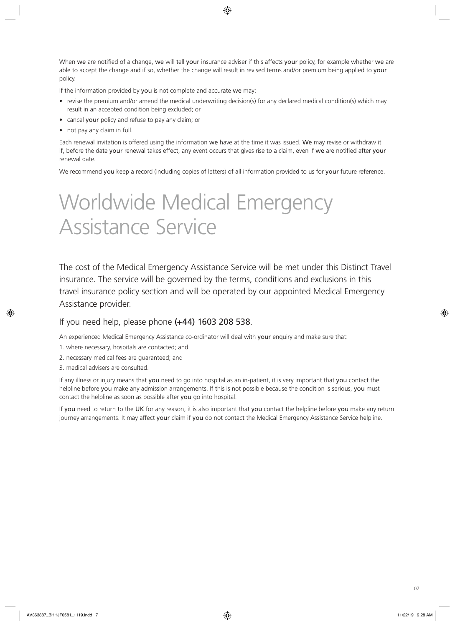When we are notified of a change, we will tell your insurance adviser if this affects your policy, for example whether we are able to accept the change and if so, whether the change will result in revised terms and/or premium being applied to your policy.

If the information provided by you is not complete and accurate we may:

- revise the premium and/or amend the medical underwriting decision(s) for any declared medical condition(s) which may result in an accepted condition being excluded; or
- cancel your policy and refuse to pay any claim; or
- not pay any claim in full.

Each renewal invitation is offered using the information we have at the time it was issued. We may revise or withdraw it if, before the date your renewal takes effect, any event occurs that gives rise to a claim, even if we are notified after your renewal date.

We recommend you keep a record (including copies of letters) of all information provided to us for your future reference.

# Worldwide Medical Emergency Assistance Service

The cost of the Medical Emergency Assistance Service will be met under this Distinct Travel insurance. The service will be governed by the terms, conditions and exclusions in this travel insurance policy section and will be operated by our appointed Medical Emergency Assistance provider.

## If you need help, please phone (+44) 1603 208 538.

An experienced Medical Emergency Assistance co-ordinator will deal with your enquiry and make sure that:

- 1. where necessary, hospitals are contacted; and
- 2. necessary medical fees are guaranteed; and
- 3. medical advisers are consulted.

If any illness or injury means that you need to go into hospital as an in-patient, it is very important that you contact the helpline before you make any admission arrangements. If this is not possible because the condition is serious, you must contact the helpline as soon as possible after you go into hospital.

If you need to return to the UK for any reason, it is also important that you contact the helpline before you make any return journey arrangements. It may affect your claim if you do not contact the Medical Emergency Assistance Service helpline.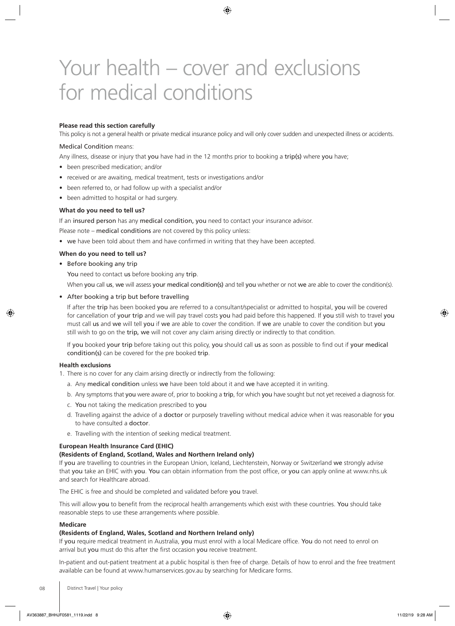# Your health – cover and exclusions for medical conditions

## **Please read this section carefully**

This policy is not a general health or private medical insurance policy and will only cover sudden and unexpected illness or accidents.

## Medical Condition means:

Any illness, disease or injury that you have had in the 12 months prior to booking a trip(s) where you have;

- been prescribed medication; and/or
- received or are awaiting, medical treatment, tests or investigations and/or
- been referred to, or had follow up with a specialist and/or
- been admitted to hospital or had surgery.

#### **What do you need to tell us?**

If an insured person has any medical condition, you need to contact your insurance advisor.

Please note – medical conditions are not covered by this policy unless:

• we have been told about them and have confirmed in writing that they have been accepted.

## **When do you need to tell us?**

• Before booking any trip

You need to contact us before booking any trip.

When you call us, we will assess your medical condition(s) and tell you whether or not we are able to cover the condition(s).

#### • After booking a trip but before travelling

If after the trip has been booked you are referred to a consultant/specialist or admitted to hospital, you will be covered for cancellation of your trip and we will pay travel costs you had paid before this happened. If you still wish to travel you must call us and we will tell you if we are able to cover the condition. If we are unable to cover the condition but you still wish to go on the trip, we will not cover any claim arising directly or indirectly to that condition.

If you booked your trip before taking out this policy, you should call us as soon as possible to find out if your medical condition(s) can be covered for the pre booked trip.

## **Health exclusions**

1. There is no cover for any claim arising directly or indirectly from the following:

- a. Any medical condition unless we have been told about it and we have accepted it in writing.
- b. Any symptoms that you were aware of, prior to booking a trip, for which you have sought but not yet received a diagnosis for.
- c. You not taking the medication prescribed to you
- d. Travelling against the advice of a **doctor** or purposely travelling without medical advice when it was reasonable for you to have consulted a doctor.
- e. Travelling with the intention of seeking medical treatment.

## **European Health Insurance Card (EHIC)**

## **(Residents of England, Scotland, Wales and Northern Ireland only)**

If you are travelling to countries in the European Union, Iceland, Liechtenstein, Norway or Switzerland we strongly advise that you take an EHIC with you. You can obtain information from the post office, or you can apply online at www.nhs.uk and search for Healthcare abroad.

The EHIC is free and should be completed and validated before you travel.

This will allow you to benefit from the reciprocal health arrangements which exist with these countries. You should take reasonable steps to use these arrangements where possible.

#### **Medicare**

## **(Residents of England, Wales, Scotland and Northern Ireland only)**

If you require medical treatment in Australia, you must enrol with a local Medicare office. You do not need to enrol on arrival but you must do this after the first occasion you receive treatment.

In-patient and out-patient treatment at a public hospital is then free of charge. Details of how to enrol and the free treatment available can be found at [www.humanservices.gov.au](http://www.humanservices.gov.au) by searching for Medicare forms.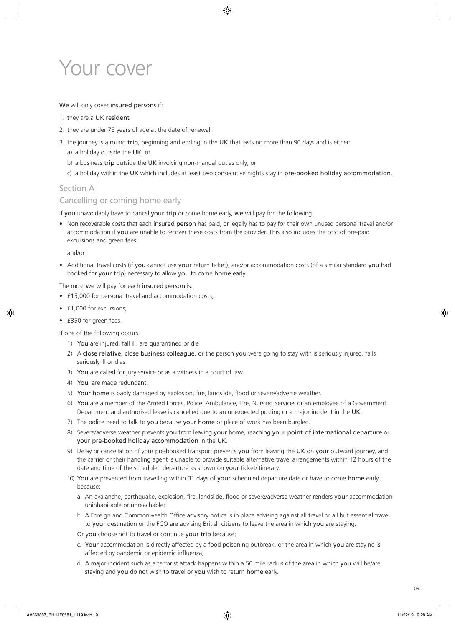# Your cover

## We will only cover insured persons if:

- 1. they are a UK resident
- 2. they are under 75 years of age at the date of renewal;
- 3. the journey is a round trip, beginning and ending in the UK that lasts no more than 90 days and is either:
	- a) a holiday outside the UK; or
	- b) a business trip outside the UK involving non-manual duties only; or
	- c) a holiday within the UK which includes at least two consecutive nights stay in pre-booked holiday accommodation.

## Section A

## Cancelling or coming home early

If you unavoidably have to cancel your trip or come home early, we will pay for the following:

• Non recoverable costs that each insured person has paid, or legally has to pay for their own unused personal travel and/or accommodation if you are unable to recover these costs from the provider. This also includes the cost of pre-paid excursions and green fees;

and/or

• Additional travel costs (if you cannot use your return ticket), and/or accommodation costs (of a similar standard you had booked for your trip) necessary to allow you to come home early.

The most we will pay for each insured person is:

- £15,000 for personal travel and accommodation costs;
- £1,000 for excursions;
- £350 for green fees.

If one of the following occurs:

- 1) You are injured, fall ill, are quarantined or die
- 2) A close relative, close business colleague, or the person you were going to stay with is seriously injured, falls seriously ill or dies.
- 3) You are called for jury service or as a witness in a court of law.
- 4) You, are made redundant.
- 5) Your home is badly damaged by explosion, fire, landslide, flood or severe/adverse weather.
- 6) You are a member of the Armed Forces, Police, Ambulance, Fire, Nursing Services or an employee of a Government Department and authorised leave is cancelled due to an unexpected posting or a major incident in the UK.
- 7) The police need to talk to you because your home or place of work has been burgled.
- 8) Severe/adverse weather prevents you from leaving your home, reaching your point of international departure or your pre-booked holiday accommodation in the UK.
- 9) Delay or cancellation of your pre-booked transport prevents you from leaving the UK on your outward journey, and the carrier or their handling agent is unable to provide suitable alternative travel arrangements within 12 hours of the date and time of the scheduled departure as shown on your ticket/itinerary.
- 10) You are prevented from travelling within 31 days of your scheduled departure date or have to come home early because:
	- a. An avalanche, earthquake, explosion, fire, landslide, flood or severe/adverse weather renders your accommodation uninhabitable or unreachable;
	- b. A Foreign and Commonwealth Office advisory notice is in place advising against all travel or all but essential travel to your destination or the FCO are advising British citizens to leave the area in which you are staying.

Or you choose not to travel or continue your trip because;

- c. Your accommodation is directly affected by a food poisoning outbreak, or the area in which you are staying is affected by pandemic or epidemic influenza;
- d. A major incident such as a terrorist attack happens within a 50 mile radius of the area in which you will be/are staying and you do not wish to travel or you wish to return home early.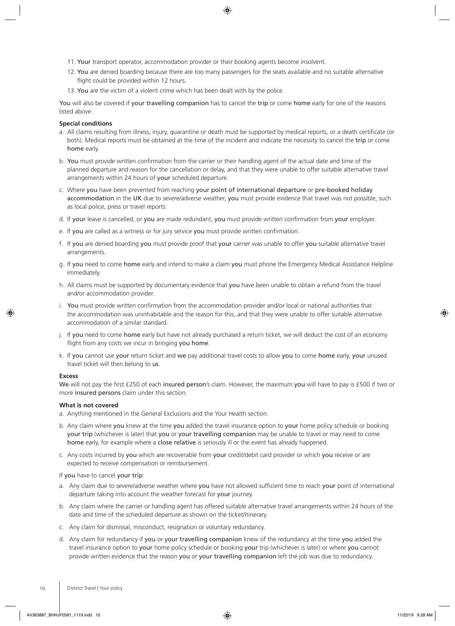- 11. Your transport operator, accommodation provider or their booking agents become insolvent.
- 12. You are denied boarding because there are too many passengers for the seats available and no suitable alternative flight could be provided within 12 hours.
- 13. You are the victim of a violent crime which has been dealt with by the police.

You will also be covered if your travelling companion has to cancel the trip or come home early for one of the reasons listed above.

## **Special conditions**

- a. All claims resulting from illness, injury, quarantine or death must be supported by medical reports, or a death certificate (or both). Medical reports must be obtained at the time of the incident and indicate the necessity to cancel the trip or come home early.
- b. You must provide written confirmation from the carrier or their handling agent of the actual date and time of the planned departure and reason for the cancellation or delay, and that they were unable to offer suitable alternative travel arrangements within 24 hours of your scheduled departure.
- c. Where you have been prevented from reaching your point of international departure or pre-booked holiday accommodation in the UK due to severe/adverse weather, you must provide evidence that travel was not possible, such as local police, press or travel reports.
- d. If your leave is cancelled, or you are made redundant, you must provide written confirmation from your employer.
- e. If you are called as a witness or for jury service you must provide written confirmation.
- f. If you are denied boarding you must provide proof that your carrier was unable to offer you suitable alternative travel arrangements.
- g. If you need to come home early and intend to make a claim you must phone the Emergency Medical Assistance Helpline immediately.
- h. All claims must be supported by documentary evidence that you have been unable to obtain a refund from the travel and/or accommodation provider.
- i. You must provide written confirmation from the accommodation provider and/or local or national authorities that the accommodation was uninhabitable and the reason for this, and that they were unable to offer suitable alternative accommodation of a similar standard.
- j. If you need to come home early but have not already purchased a return ticket, we will deduct the cost of an economy flight from any costs we incur in bringing you home.
- k. If you cannot use your return ticket and we pay additional travel costs to allow you to come home early, your unused travel ticket will then belong to us.

## **Excess**

We will not pay the first £250 of each insured person's claim. However, the maximum you will have to pay is £500 if two or more insured persons claim under this section.

## **What is not covered**

- a. Anything mentioned in the General Exclusions and the Your Health section.
- b. Any claim where you knew at the time you added the travel insurance option to your home policy schedule or booking your trip (whichever is later) that you or your travelling companion may be unable to travel or may need to come home early, for example where a close relative is seriously ill or the event has already happened.
- c. Any costs incurred by you which are recoverable from your credit/debit card provider or which you receive or are expected to receive compensation or reimbursement.

If you have to cancel your trip:

- a. Any claim due to severe/adverse weather where you have not allowed sufficient time to reach your point of international departure taking into account the weather forecast for your journey.
- b. Any claim where the carrier or handling agent has offered suitable alternative travel arrangements within 24 hours of the date and time of the scheduled departure as shown on the ticket/itinerary.
- c. Any claim for dismissal, misconduct, resignation or voluntary redundancy.
- d. Any claim for redundancy if you or your travelling companion knew of the redundancy at the time you added the travel insurance option to your home policy schedule or booking your trip (whichever is later) or where you cannot provide written evidence that the reason you or your travelling companion left the job was due to redundancy.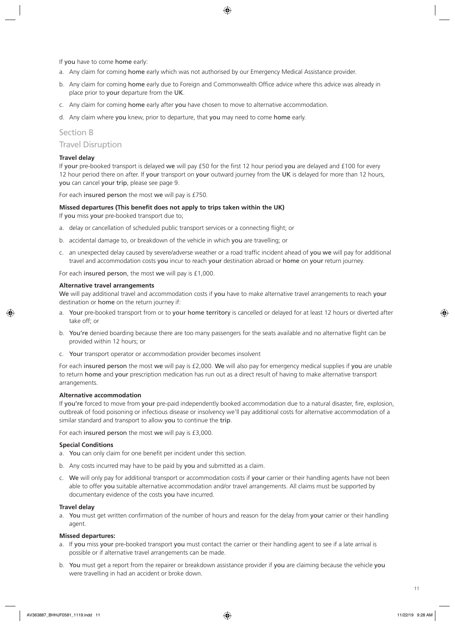If you have to come home early:

- a. Any claim for coming home early which was not authorised by our Emergency Medical Assistance provider.
- b. Any claim for coming home early due to Foreign and Commonwealth Office advice where this advice was already in place prior to your departure from the UK.
- c. Any claim for coming home early after you have chosen to move to alternative accommodation.
- d. Any claim where you knew, prior to departure, that you may need to come home early.

## Section B

## Travel Disruption

## **Travel delay**

If your pre-booked transport is delayed we will pay £50 for the first 12 hour period you are delayed and £100 for every 12 hour period there on after. If your transport on your outward journey from the UK is delayed for more than 12 hours, you can cancel your trip, please see page 9.

For each insured person the most we will pay is £750.

## **Missed departures (This benefit does not apply to trips taken within the UK)**

If you miss your pre-booked transport due to;

- a. delay or cancellation of scheduled public transport services or a connecting flight; or
- b. accidental damage to, or breakdown of the vehicle in which you are travelling; or
- c. an unexpected delay caused by severe/adverse weather or a road traffic incident ahead of you we will pay for additional travel and accommodation costs you incur to reach your destination abroad or home on your return journey.

For each insured person, the most we will pay is £1,000.

## **Alternative travel arrangements**

We will pay additional travel and accommodation costs if you have to make alternative travel arrangements to reach your destination or home on the return journey if:

- a. Your pre-booked transport from or to your home territory is cancelled or delayed for at least 12 hours or diverted after take off; or
- b. You're denied boarding because there are too many passengers for the seats available and no alternative flight can be provided within 12 hours; or
- c. Your transport operator or accommodation provider becomes insolvent

For each insured person the most we will pay is £2,000. We will also pay for emergency medical supplies if you are unable to return home and your prescription medication has run out as a direct result of having to make alternative transport arrangements.

## **Alternative accommodation**

If you're forced to move from your pre-paid independently booked accommodation due to a natural disaster, fire, explosion, outbreak of food poisoning or infectious disease or insolvency we'll pay additional costs for alternative accommodation of a similar standard and transport to allow you to continue the trip.

For each insured person the most we will pay is £3,000.

## **Special Conditions**

- a. You can only claim for one benefit per incident under this section.
- b. Any costs incurred may have to be paid by you and submitted as a claim.
- c. We will only pay for additional transport or accommodation costs if your carrier or their handling agents have not been able to offer you suitable alternative accommodation and/or travel arrangements. All claims must be supported by documentary evidence of the costs you have incurred.

## **Travel delay**

a. You must get written confirmation of the number of hours and reason for the delay from your carrier or their handling agent.

## **Missed departures:**

- a. If you miss your pre-booked transport you must contact the carrier or their handling agent to see if a late arrival is possible or if alternative travel arrangements can be made.
- b. You must get a report from the repairer or breakdown assistance provider if you are claiming because the vehicle you were travelling in had an accident or broke down.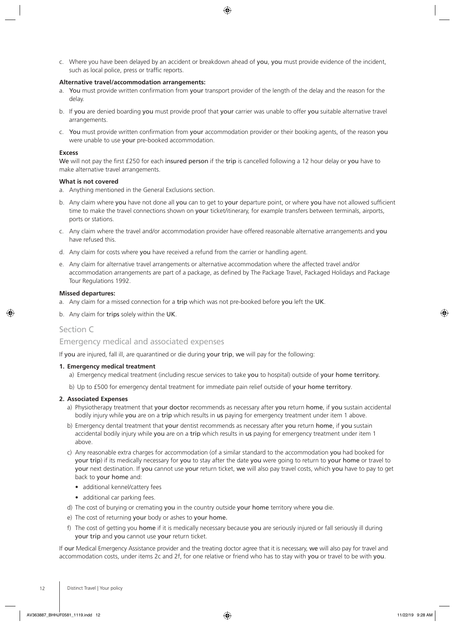c. Where you have been delayed by an accident or breakdown ahead of you, you must provide evidence of the incident, such as local police, press or traffic reports.

## **Alternative travel/accommodation arrangements:**

- a. You must provide written confirmation from your transport provider of the length of the delay and the reason for the delay.
- b. If you are denied boarding you must provide proof that your carrier was unable to offer you suitable alternative travel arrangements.
- c. You must provide written confirmation from your accommodation provider or their booking agents, of the reason you were unable to use your pre-booked accommodation.

## **Excess**

We will not pay the first £250 for each insured person if the trip is cancelled following a 12 hour delay or you have to make alternative travel arrangements.

## **What is not covered**

- a. Anything mentioned in the General Exclusions section.
- b. Any claim where you have not done all you can to get to your departure point, or where you have not allowed sufficient time to make the travel connections shown on your ticket/itinerary, for example transfers between terminals, airports, ports or stations.
- c. Any claim where the travel and/or accommodation provider have offered reasonable alternative arrangements and you have refused this.
- d. Any claim for costs where you have received a refund from the carrier or handling agent.
- e. Any claim for alternative travel arrangements or alternative accommodation where the affected travel and/or accommodation arrangements are part of a package, as defined by The Package Travel, Packaged Holidays and Package Tour Regulations 1992.

## **Missed departures:**

- a. Any claim for a missed connection for a trip which was not pre-booked before you left the UK.
- b. Any claim for trips solely within the UK.

## Section C

## Emergency medical and associated expenses

If you are injured, fall ill, are quarantined or die during your trip, we will pay for the following:

## **1. Emergency medical treatment**

- a) Emergency medical treatment (including rescue services to take you to hospital) outside of your home territory.
- b) Up to £500 for emergency dental treatment for immediate pain relief outside of your home territory.

## **2. Associated Expenses**

- a) Physiotherapy treatment that your doctor recommends as necessary after you return home, if you sustain accidental bodily injury while you are on a trip which results in us paying for emergency treatment under item 1 above.
- b) Emergency dental treatment that your dentist recommends as necessary after you return home, if you sustain accidental bodily injury while you are on a trip which results in us paying for emergency treatment under item 1 above.
- c) Any reasonable extra charges for accommodation (of a similar standard to the accommodation you had booked for your trip) if its medically necessary for you to stay after the date you were going to return to your home or travel to your next destination. If you cannot use your return ticket, we will also pay travel costs, which you have to pay to get back to your home and:
	- additional kennel/cattery fees
	- additional car parking fees.
- d) The cost of burying or cremating you in the country outside your home territory where you die.
- e) The cost of returning your body or ashes to your home.
- f) The cost of getting you home if it is medically necessary because you are seriously injured or fall seriously ill during your trip and you cannot use your return ticket.

If our Medical Emergency Assistance provider and the treating doctor agree that it is necessary, we will also pay for travel and accommodation costs, under items 2c and 2f, for one relative or friend who has to stay with you or travel to be with you.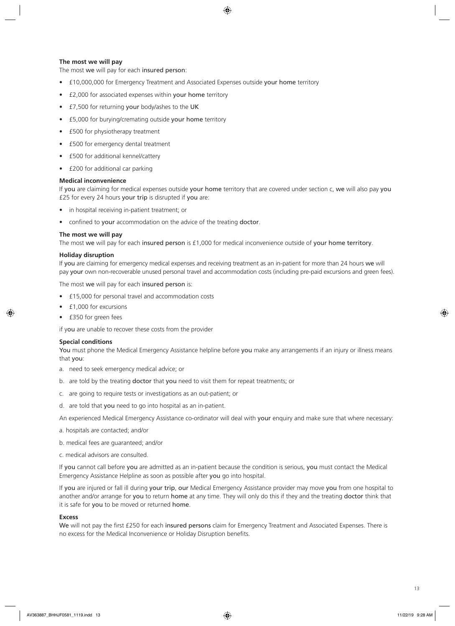## **The most we will pay**

The most we will pay for each insured person:

- £10,000,000 for Emergency Treatment and Associated Expenses outside your home territory
- £2,000 for associated expenses within your home territory
- £7,500 for returning your body/ashes to the UK
- £5,000 for burying/cremating outside your home territory
- £500 for physiotherapy treatment
- £500 for emergency dental treatment
- £500 for additional kennel/cattery
- £200 for additional car parking

## **Medical inconvenience**

If you are claiming for medical expenses outside your home territory that are covered under section c, we will also pay you £25 for every 24 hours your trip is disrupted if you are:

- in hospital receiving in-patient treatment; or
- confined to your accommodation on the advice of the treating doctor.

## **The most we will pay**

The most we will pay for each insured person is £1,000 for medical inconvenience outside of your home territory.

## **Holiday disruption**

If you are claiming for emergency medical expenses and receiving treatment as an in-patient for more than 24 hours we will pay your own non-recoverable unused personal travel and accommodation costs (including pre-paid excursions and green fees).

The most we will pay for each insured person is:

- £15,000 for personal travel and accommodation costs
- £1,000 for excursions
- £350 for green fees

if you are unable to recover these costs from the provider

## **Special conditions**

You must phone the Medical Emergency Assistance helpline before you make any arrangements if an injury or illness means that you:

- a. need to seek emergency medical advice; or
- b. are told by the treating doctor that you need to visit them for repeat treatments; or
- c. are going to require tests or investigations as an out-patient; or
- d. are told that you need to go into hospital as an in-patient.

An experienced Medical Emergency Assistance co-ordinator will deal with your enquiry and make sure that where necessary:

- a. hospitals are contacted; and/or
- b. medical fees are guaranteed; and/or
- c. medical advisors are consulted.

If you cannot call before you are admitted as an in-patient because the condition is serious, you must contact the Medical Emergency Assistance Helpline as soon as possible after you go into hospital.

If you are injured or fall ill during your trip, our Medical Emergency Assistance provider may move you from one hospital to another and/or arrange for you to return home at any time. They will only do this if they and the treating doctor think that it is safe for you to be moved or returned home.

## **Excess**

We will not pay the first £250 for each insured persons claim for Emergency Treatment and Associated Expenses. There is no excess for the Medical Inconvenience or Holiday Disruption benefits.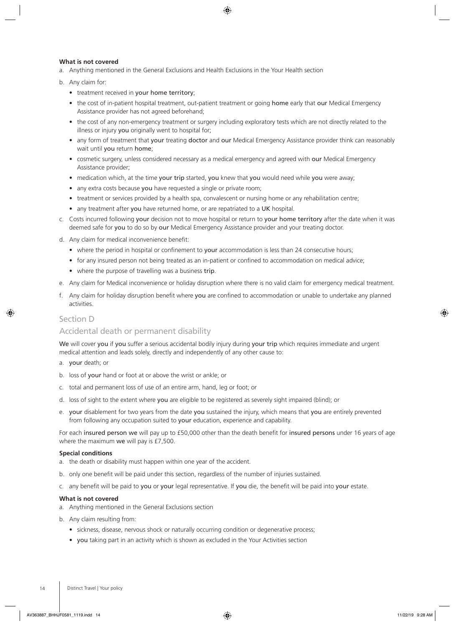## **What is not covered**

- a. Anything mentioned in the General Exclusions and Health Exclusions in the Your Health section
- b. Any claim for:
	- treatment received in your home territory;
	- the cost of in-patient hospital treatment, out-patient treatment or going home early that our Medical Emergency Assistance provider has not agreed beforehand;
	- the cost of any non-emergency treatment or surgery including exploratory tests which are not directly related to the illness or injury you originally went to hospital for;
	- any form of treatment that your treating doctor and our Medical Emergency Assistance provider think can reasonably wait until you return home;
	- cosmetic surgery, unless considered necessary as a medical emergency and agreed with our Medical Emergency Assistance provider;
	- medication which, at the time your trip started, you knew that you would need while you were away;
	- any extra costs because you have requested a single or private room;
	- treatment or services provided by a health spa, convalescent or nursing home or any rehabilitation centre;
	- any treatment after you have returned home, or are repatriated to a UK hospital.
- c. Costs incurred following your decision not to move hospital or return to your home territory after the date when it was deemed safe for you to do so by our Medical Emergency Assistance provider and your treating doctor.
- d. Any claim for medical inconvenience benefit:
	- where the period in hospital or confinement to your accommodation is less than 24 consecutive hours;
	- for any insured person not being treated as an in-patient or confined to accommodation on medical advice;
	- where the purpose of travelling was a business trip.
- e. Any claim for Medical inconvenience or holiday disruption where there is no valid claim for emergency medical treatment.
- f. Any claim for holiday disruption benefit where you are confined to accommodation or unable to undertake any planned activities.

## Section D

## Accidental death or permanent disability

We will cover you if you suffer a serious accidental bodily injury during your trip which requires immediate and urgent medical attention and leads solely, directly and independently of any other cause to:

- a. your death; or
- b. loss of your hand or foot at or above the wrist or ankle; or
- c. total and permanent loss of use of an entire arm, hand, leg or foot; or
- d. loss of sight to the extent where you are eligible to be registered as severely sight impaired (blind); or
- e. your disablement for two years from the date you sustained the injury, which means that you are entirely prevented from following any occupation suited to your education, experience and capability.

For each insured person we will pay up to £50,000 other than the death benefit for insured persons under 16 years of age where the maximum we will pay is £7,500.

#### **Special conditions**

- a. the death or disability must happen within one year of the accident.
- b. only one benefit will be paid under this section, regardless of the number of injuries sustained.
- c. any benefit will be paid to you or your legal representative. If you die, the benefit will be paid into your estate.

#### **What is not covered**

- a. Anything mentioned in the General Exclusions section
- b. Any claim resulting from:
	- sickness, disease, nervous shock or naturally occurring condition or degenerative process;
	- you taking part in an activity which is shown as excluded in the Your Activities section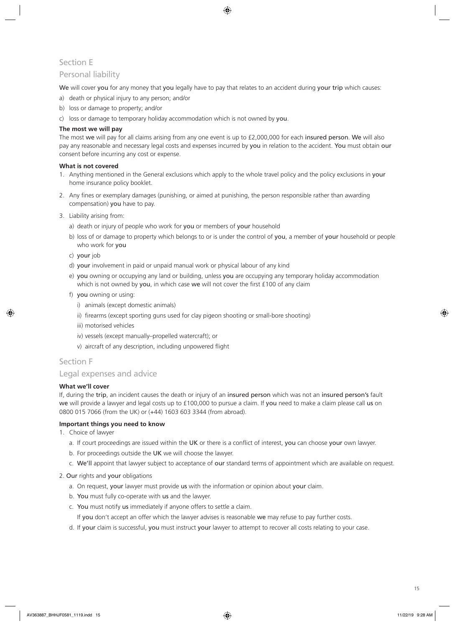## Section E

## Personal liability

We will cover you for any money that you legally have to pay that relates to an accident during your trip which causes:

- a) death or physical injury to any person; and/or
- b) loss or damage to property; and/or
- c) loss or damage to temporary holiday accommodation which is not owned by you.

## **The most we will pay**

The most we will pay for all claims arising from any one event is up to £2,000,000 for each insured person. We will also pay any reasonable and necessary legal costs and expenses incurred by you in relation to the accident. You must obtain our consent before incurring any cost or expense.

## **What is not covered**

- 1. Anything mentioned in the General exclusions which apply to the whole travel policy and the policy exclusions in your home insurance policy booklet.
- 2. Any fines or exemplary damages (punishing, or aimed at punishing, the person responsible rather than awarding compensation) you have to pay.
- 3. Liability arising from:
	- a) death or injury of people who work for you or members of your household
	- b) loss of or damage to property which belongs to or is under the control of you, a member of your household or people who work for you
	- c) your job
	- d) your involvement in paid or unpaid manual work or physical labour of any kind
	- e) you owning or occupying any land or building, unless you are occupying any temporary holiday accommodation which is not owned by you, in which case we will not cover the first £100 of any claim
	- f) you owning or using:
		- i) animals (except domestic animals)
		- ii) firearms (except sporting guns used for clay pigeon shooting or small-bore shooting)
		- iii) motorised vehicles
		- iv) vessels (except manually–propelled watercraft); or
		- v) aircraft of any description, including unpowered flight

## Section F

## Legal expenses and advice

## **What we'll cover**

If, during the trip, an incident causes the death or injury of an insured person which was not an insured person's fault we will provide a lawyer and legal costs up to £100,000 to pursue a claim. If you need to make a claim please call us on 0800 015 7066 (from the UK) or (+44) 1603 603 3344 (from abroad).

## **Important things you need to know**

- 1. Choice of lawyer
	- a. If court proceedings are issued within the UK or there is a conflict of interest, you can choose your own lawyer.
	- b. For proceedings outside the UK we will choose the lawyer.
	- c. We'll appoint that lawyer subject to acceptance of our standard terms of appointment which are available on request.

## 2. Our rights and your obligations

- a. On request, your lawyer must provide us with the information or opinion about your claim.
- b. You must fully co-operate with us and the lawyer.
- c. You must notify us immediately if anyone offers to settle a claim.
	- If you don't accept an offer which the lawyer advises is reasonable we may refuse to pay further costs.
- d. If your claim is successful, you must instruct your lawyer to attempt to recover all costs relating to your case.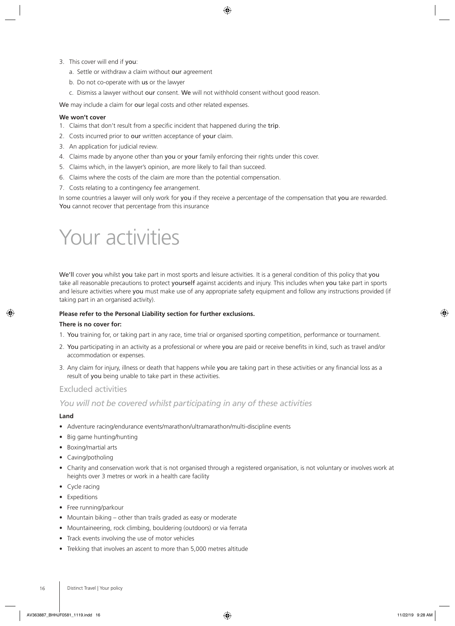- 3. This cover will end if you:
	- a. Settle or withdraw a claim without our agreement
	- b. Do not co-operate with us or the lawyer
	- c. Dismiss a lawyer without our consent. We will not withhold consent without good reason.

We may include a claim for our legal costs and other related expenses.

## **We won't cover**

- 1. Claims that don't result from a specific incident that happened during the trip.
- 2. Costs incurred prior to our written acceptance of your claim.
- 3. An application for judicial review.
- 4. Claims made by anyone other than you or your family enforcing their rights under this cover.
- 5. Claims which, in the lawyer's opinion, are more likely to fail than succeed.
- 6. Claims where the costs of the claim are more than the potential compensation.
- 7. Costs relating to a contingency fee arrangement.

In some countries a lawyer will only work for you if they receive a percentage of the compensation that you are rewarded. You cannot recover that percentage from this insurance

# Your activities

We'll cover you whilst you take part in most sports and leisure activities. It is a general condition of this policy that you take all reasonable precautions to protect yourself against accidents and injury. This includes when you take part in sports and leisure activities where you must make use of any appropriate safety equipment and follow any instructions provided (if taking part in an organised activity).

## **Please refer to the Personal Liability section for further exclusions.**

## **There is no cover for:**

- 1. You training for, or taking part in any race, time trial or organised sporting competition, performance or tournament.
- 2. You participating in an activity as a professional or where you are paid or receive benefits in kind, such as travel and/or accommodation or expenses.
- 3. Any claim for injury, illness or death that happens while you are taking part in these activities or any financial loss as a result of you being unable to take part in these activities.

## Excluded activities

## *You will not be covered whilst participating in any of these activities*

## **Land**

- Adventure racing/endurance events/marathon/ultramarathon/multi-discipline events
- Big game hunting/hunting
- Boxing/martial arts
- Caving/potholing
- Charity and conservation work that is not organised through a registered organisation, is not voluntary or involves work at heights over 3 metres or work in a health care facility
- Cycle racing
- Expeditions
- Free running/parkour
- Mountain biking other than trails graded as easy or moderate
- Mountaineering, rock climbing, bouldering (outdoors) or via ferrata
- Track events involving the use of motor vehicles
- Trekking that involves an ascent to more than 5,000 metres altitude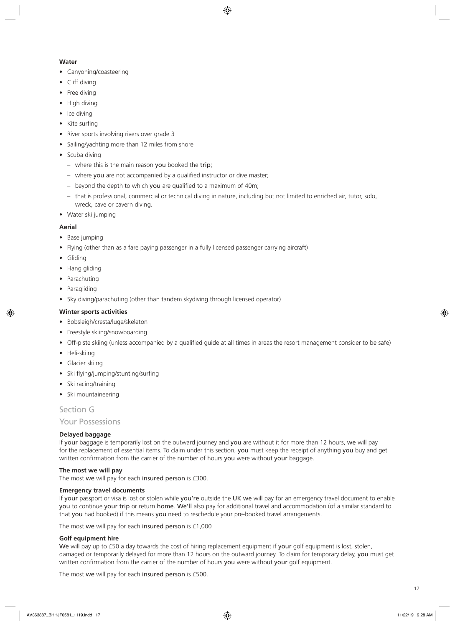## **Water**

- Canyoning/coasteering
- Cliff diving
- Free diving
- High diving
- Ice diving
- Kite surfing
- River sports involving rivers over grade 3
- Sailing/yachting more than 12 miles from shore
- Scuba diving
	- where this is the main reason you booked the trip;
	- where you are not accompanied by a qualified instructor or dive master;
	- beyond the depth to which you are qualified to a maximum of 40m;
	- that is professional, commercial or technical diving in nature, including but not limited to enriched air, tutor, solo, wreck, cave or cavern diving.
- Water ski jumping

## **Aerial**

- Base jumping
- Flying (other than as a fare paying passenger in a fully licensed passenger carrying aircraft)
- Gliding
- Hang gliding
- Parachuting
- Paragliding
- Sky diving/parachuting (other than tandem skydiving through licensed operator)

## **Winter sports activities**

- Bobsleigh/cresta/luge/skeleton
- Freestyle skiing/snowboarding
- Off-piste skiing (unless accompanied by a qualified guide at all times in areas the resort management consider to be safe)
- Heli-skiing
- Glacier skiing
- Ski flying/jumping/stunting/surfing
- Ski racing/training
- Ski mountaineering

Section G

Your Possessions

## **Delayed baggage**

If your baggage is temporarily lost on the outward journey and you are without it for more than 12 hours, we will pay for the replacement of essential items. To claim under this section, you must keep the receipt of anything you buy and get written confirmation from the carrier of the number of hours you were without your baggage.

## **The most we will pay**

The most we will pay for each insured person is £300.

## **Emergency travel documents**

If your passport or visa is lost or stolen while you're outside the UK we will pay for an emergency travel document to enable you to continue your trip or return home. We'll also pay for additional travel and accommodation (of a similar standard to that you had booked) if this means you need to reschedule your pre-booked travel arrangements.

The most we will pay for each insured person is £1,000

## **Golf equipment hire**

We will pay up to £50 a day towards the cost of hiring replacement equipment if your golf equipment is lost, stolen, damaged or temporarily delayed for more than 12 hours on the outward journey. To claim for temporary delay, you must get written confirmation from the carrier of the number of hours you were without your golf equipment.

The most we will pay for each insured person is £500.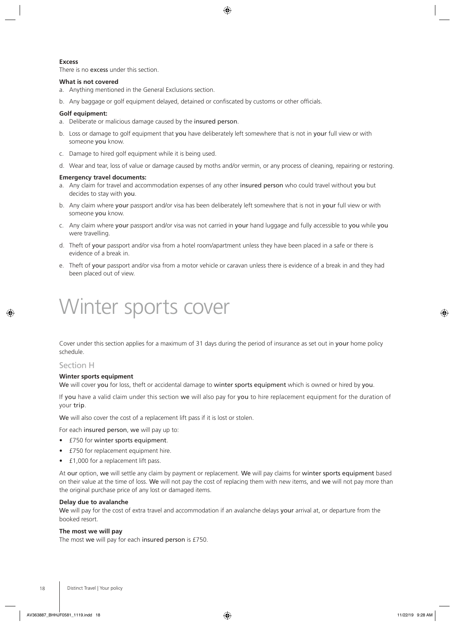## **Excess**

There is no excess under this section.

### **What is not covered**

- a. Anything mentioned in the General Exclusions section.
- b. Any baggage or golf equipment delayed, detained or confiscated by customs or other officials.

#### **Golf equipment:**

- a. Deliberate or malicious damage caused by the insured person.
- b. Loss or damage to golf equipment that you have deliberately left somewhere that is not in your full view or with someone you know.
- c. Damage to hired golf equipment while it is being used.
- d. Wear and tear, loss of value or damage caused by moths and/or vermin, or any process of cleaning, repairing or restoring.

#### **Emergency travel documents:**

- a. Any claim for travel and accommodation expenses of any other insured person who could travel without you but decides to stay with you.
- b. Any claim where your passport and/or visa has been deliberately left somewhere that is not in your full view or with someone you know.
- c. Any claim where your passport and/or visa was not carried in your hand luggage and fully accessible to you while you were travelling.
- d. Theft of your passport and/or visa from a hotel room/apartment unless they have been placed in a safe or there is evidence of a break in.
- e. Theft of your passport and/or visa from a motor vehicle or caravan unless there is evidence of a break in and they had been placed out of view.

# Winter sports cover

Cover under this section applies for a maximum of 31 days during the period of insurance as set out in your home policy schedule.

## Section H

#### **Winter sports equipment**

We will cover you for loss, theft or accidental damage to winter sports equipment which is owned or hired by you.

If you have a valid claim under this section we will also pay for you to hire replacement equipment for the duration of your trip.

We will also cover the cost of a replacement lift pass if it is lost or stolen.

For each insured person, we will pay up to:

- £750 for winter sports equipment.
- £750 for replacement equipment hire.
- £1,000 for a replacement lift pass.

At our option, we will settle any claim by payment or replacement. We will pay claims for winter sports equipment based on their value at the time of loss. We will not pay the cost of replacing them with new items, and we will not pay more than the original purchase price of any lost or damaged items.

## **Delay due to avalanche**

We will pay for the cost of extra travel and accommodation if an avalanche delays your arrival at, or departure from the booked resort.

## **The most we will pay**

The most we will pay for each insured person is £750.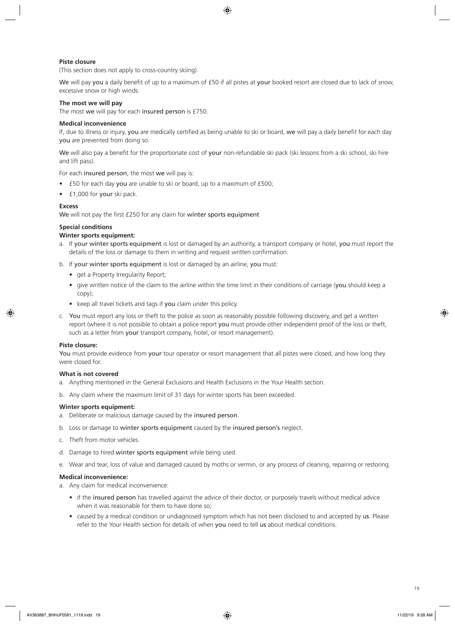## **Piste closure**

(This section does not apply to cross-country skiing).

We will pay you a daily benefit of up to a maximum of £50 if all pistes at your booked resort are closed due to lack of snow, excessive snow or high winds.

## **The most we will pay**

The most we will pay for each insured person is £750.

## **Medical inconvenience**

If, due to illness or injury, you are medically certified as being unable to ski or board, we will pay a daily benefit for each day you are prevented from doing so.

We will also pay a benefit for the proportionate cost of your non-refundable ski pack (ski lessons from a ski school, ski hire and lift pass).

For each insured person, the most we will pay is:

- £50 for each day you are unable to ski or board, up to a maximum of £500;
- £1,000 for your ski pack.

## **Excess**

We will not pay the first £250 for any claim for winter sports equipment

## **Special conditions**

## **Winter sports equipment:**

- a. If your winter sports equipment is lost or damaged by an authority, a transport company or hotel, you must report the details of the loss or damage to them in writing and request written confirmation.
- b. If your winter sports equipment is lost or damaged by an airline, you must:
	- get a Property Irregularity Report;
	- give written notice of the claim to the airline within the time limit in their conditions of carriage (you should keep a copy);
	- keep all travel tickets and tags if you claim under this policy.
- c. You must report any loss or theft to the police as soon as reasonably possible following discovery, and get a written report (where it is not possible to obtain a police report you must provide other independent proof of the loss or theft, such as a letter from your transport company, hotel, or resort management).

## **Piste closure:**

You must provide evidence from your tour operator or resort management that all pistes were closed, and how long they were closed for.

## **What is not covered**

- a. Anything mentioned in the General Exclusions and Health Exclusions in the Your Health section.
- b. Any claim where the maximum limit of 31 days for winter sports has been exceeded.

## **Winter sports equipment:**

- a. Deliberate or malicious damage caused by the insured person.
- b. Loss or damage to winter sports equipment caused by the insured person's neglect.
- c. Theft from motor vehicles.
- d. Damage to hired winter sports equipment while being used.
- e. Wear and tear, loss of value and damaged caused by moths or vermin, or any process of cleaning, repairing or restoring.

## **Medical inconvenience:**

a. Any claim for medical inconvenience:

- if the insured person has travelled against the advice of their doctor, or purposely travels without medical advice when it was reasonable for them to have done so;
- caused by a medical condition or undiagnosed symptom which has not been disclosed to and accepted by us. Please refer to the Your Health section for details of when you need to tell us about medical conditions.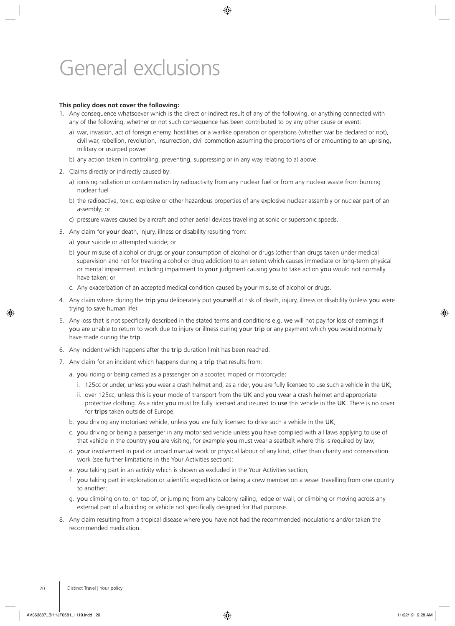# General exclusions

## **This policy does not cover the following:**

- 1. Any consequence whatsoever which is the direct or indirect result of any of the following, or anything connected with any of the following, whether or not such consequence has been contributed to by any other cause or event:
	- a) war, invasion, act of foreign enemy, hostilities or a warlike operation or operations (whether war be declared or not), civil war, rebellion, revolution, insurrection, civil commotion assuming the proportions of or amounting to an uprising, military or usurped power
	- b) any action taken in controlling, preventing, suppressing or in any way relating to a) above.
- 2. Claims directly or indirectly caused by:
	- a) ionising radiation or contamination by radioactivity from any nuclear fuel or from any nuclear waste from burning nuclear fuel
	- b) the radioactive, toxic, explosive or other hazardous properties of any explosive nuclear assembly or nuclear part of an assembly; or
	- c) pressure waves caused by aircraft and other aerial devices travelling at sonic or supersonic speeds.
- 3. Any claim for your death, injury, illness or disability resulting from:
	- a) your suicide or attempted suicide; or
	- b) your misuse of alcohol or drugs or your consumption of alcohol or drugs (other than drugs taken under medical supervision and not for treating alcohol or drug addiction) to an extent which causes immediate or long-term physical or mental impairment, including impairment to your judgment causing you to take action you would not normally have taken; or
	- c. Any exacerbation of an accepted medical condition caused by your misuse of alcohol or drugs.
- 4. Any claim where during the trip you deliberately put yourself at risk of death, injury, illness or disability (unless you were trying to save human life).
- 5. Any loss that is not specifically described in the stated terms and conditions e.g. we will not pay for loss of earnings if you are unable to return to work due to injury or illness during your trip or any payment which you would normally have made during the trip.
- 6. Any incident which happens after the trip duration limit has been reached.
- 7. Any claim for an incident which happens during a trip that results from:
	- a. you riding or being carried as a passenger on a scooter, moped or motorcycle:
		- i. 125cc or under, unless you wear a crash helmet and, as a rider, you are fully licensed to use such a vehicle in the UK;
		- ii. over 125cc, unless this is your mode of transport from the UK and you wear a crash helmet and appropriate protective clothing. As a rider you must be fully licensed and insured to use this vehicle in the UK. There is no cover for trips taken outside of Europe.
	- b. you driving any motorised vehicle, unless you are fully licensed to drive such a vehicle in the UK;
	- c. you driving or being a passenger in any motorised vehicle unless you have complied with all laws applying to use of that vehicle in the country you are visiting, for example you must wear a seatbelt where this is required by law;
	- d. your involvement in paid or unpaid manual work or physical labour of any kind, other than charity and conservation work (see further limitations in the Your Activities section);
	- e. you taking part in an activity which is shown as excluded in the Your Activities section;
	- f. you taking part in exploration or scientific expeditions or being a crew member on a vessel travelling from one country to another;
	- g. you climbing on to, on top of, or jumping from any balcony railing, ledge or wall, or climbing or moving across any external part of a building or vehicle not specifically designed for that purpose.
- 8. Any claim resulting from a tropical disease where you have not had the recommended inoculations and/or taken the recommended medication.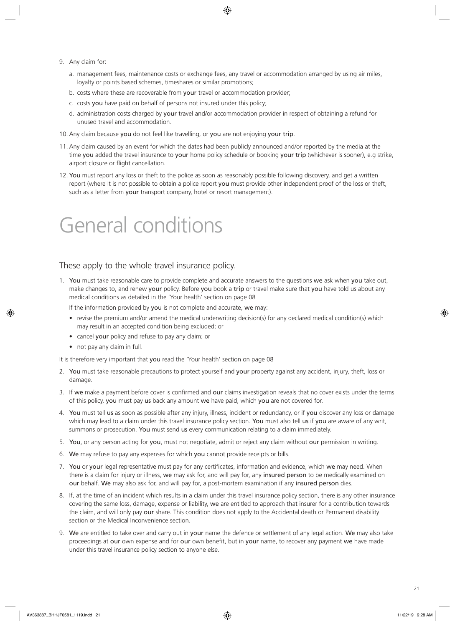- 9. Any claim for:
	- a. management fees, maintenance costs or exchange fees, any travel or accommodation arranged by using air miles, loyalty or points based schemes, timeshares or similar promotions;
	- b. costs where these are recoverable from your travel or accommodation provider;
	- c. costs you have paid on behalf of persons not insured under this policy;
	- d. administration costs charged by your travel and/or accommodation provider in respect of obtaining a refund for unused travel and accommodation.
- 10. Any claim because you do not feel like travelling, or you are not enjoying your trip.
- 11. Any claim caused by an event for which the dates had been publicly announced and/or reported by the media at the time you added the travel insurance to your home policy schedule or booking your trip (whichever is sooner), e.g strike, airport closure or flight cancellation.
- 12. You must report any loss or theft to the police as soon as reasonably possible following discovery, and get a written report (where it is not possible to obtain a police report you must provide other independent proof of the loss or theft, such as a letter from your transport company, hotel or resort management).

# General conditions

## These apply to the whole travel insurance policy.

1. You must take reasonable care to provide complete and accurate answers to the questions we ask when you take out, make changes to, and renew your policy. Before you book a trip or travel make sure that you have told us about any medical conditions as detailed in the 'Your health' section on page 08

If the information provided by you is not complete and accurate, we may:

- revise the premium and/or amend the medical underwriting decision(s) for any declared medical condition(s) which may result in an accepted condition being excluded; or
- cancel your policy and refuse to pay any claim; or
- not pay any claim in full.

It is therefore very important that you read the 'Your health' section on page 08

- 2. You must take reasonable precautions to protect yourself and your property against any accident, injury, theft, loss or damage.
- 3. If we make a payment before cover is confirmed and our claims investigation reveals that no cover exists under the terms of this policy, you must pay us back any amount we have paid, which you are not covered for.
- 4. You must tell us as soon as possible after any injury, illness, incident or redundancy, or if you discover any loss or damage which may lead to a claim under this travel insurance policy section. You must also tell us if you are aware of any writ, summons or prosecution. You must send us every communication relating to a claim immediately.
- 5. You, or any person acting for you, must not negotiate, admit or reject any claim without our permission in writing.
- 6. We may refuse to pay any expenses for which you cannot provide receipts or bills.
- 7. You or your legal representative must pay for any certificates, information and evidence, which we may need. When there is a claim for injury or illness, we may ask for, and will pay for, any insured person to be medically examined on our behalf. We may also ask for, and will pay for, a post-mortem examination if any insured person dies.
- 8. If, at the time of an incident which results in a claim under this travel insurance policy section, there is any other insurance covering the same loss, damage, expense or liability, we are entitled to approach that insurer for a contribution towards the claim, and will only pay our share. This condition does not apply to the Accidental death or Permanent disability section or the Medical Inconvenience section.
- 9. We are entitled to take over and carry out in your name the defence or settlement of any legal action. We may also take proceedings at our own expense and for our own benefit, but in your name, to recover any payment we have made under this travel insurance policy section to anyone else.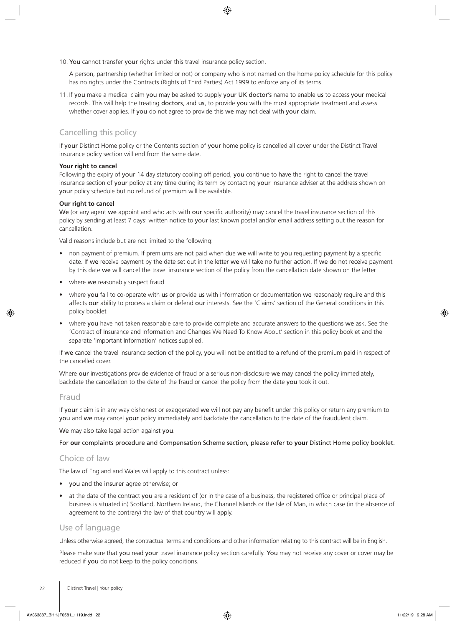10. You cannot transfer your rights under this travel insurance policy section.

A person, partnership (whether limited or not) or company who is not named on the home policy schedule for this policy has no rights under the Contracts (Rights of Third Parties) Act 1999 to enforce any of its terms.

11. If you make a medical claim you may be asked to supply your UK doctor's name to enable us to access your medical records. This will help the treating doctors, and us, to provide you with the most appropriate treatment and assess whether cover applies. If you do not agree to provide this we may not deal with your claim.

## Cancelling this policy

If your Distinct Home policy or the Contents section of your home policy is cancelled all cover under the Distinct Travel insurance policy section will end from the same date.

## **Your right to cancel**

Following the expiry of your 14 day statutory cooling off period, you continue to have the right to cancel the travel insurance section of your policy at any time during its term by contacting your insurance adviser at the address shown on your policy schedule but no refund of premium will be available.

## **Our right to cancel**

We (or any agent we appoint and who acts with our specific authority) may cancel the travel insurance section of this policy by sending at least 7 days' written notice to your last known postal and/or email address setting out the reason for cancellation.

Valid reasons include but are not limited to the following:

- non payment of premium. If premiums are not paid when due we will write to you requesting payment by a specific date. If we receive payment by the date set out in the letter we will take no further action. If we do not receive payment by this date we will cancel the travel insurance section of the policy from the cancellation date shown on the letter
- where we reasonably suspect fraud
- where you fail to co-operate with us or provide us with information or documentation we reasonably require and this affects our ability to process a claim or defend our interests. See the 'Claims' section of the General conditions in this policy booklet
- where you have not taken reasonable care to provide complete and accurate answers to the questions we ask. See the 'Contract of Insurance and Information and Changes We Need To Know About' section in this policy booklet and the separate 'Important Information' notices supplied.

If we cancel the travel insurance section of the policy, you will not be entitled to a refund of the premium paid in respect of the cancelled cover.

Where our investigations provide evidence of fraud or a serious non-disclosure we may cancel the policy immediately, backdate the cancellation to the date of the fraud or cancel the policy from the date you took it out.

## Fraud

If your claim is in any way dishonest or exaggerated we will not pay any benefit under this policy or return any premium to you and we may cancel your policy immediately and backdate the cancellation to the date of the fraudulent claim.

We may also take legal action against you.

For **our** complaints procedure and Compensation Scheme section, please refer to **your** Distinct Home policy booklet.

## Choice of law

The law of England and Wales will apply to this contract unless:

- you and the insurer agree otherwise; or
- at the date of the contract you are a resident of (or in the case of a business, the registered office or principal place of business is situated in) Scotland, Northern Ireland, the Channel Islands or the Isle of Man, in which case (in the absence of agreement to the contrary) the law of that country will apply.

## Use of language

Unless otherwise agreed, the contractual terms and conditions and other information relating to this contract will be in English.

Please make sure that you read your travel insurance policy section carefully. You may not receive any cover or cover may be reduced if you do not keep to the policy conditions.